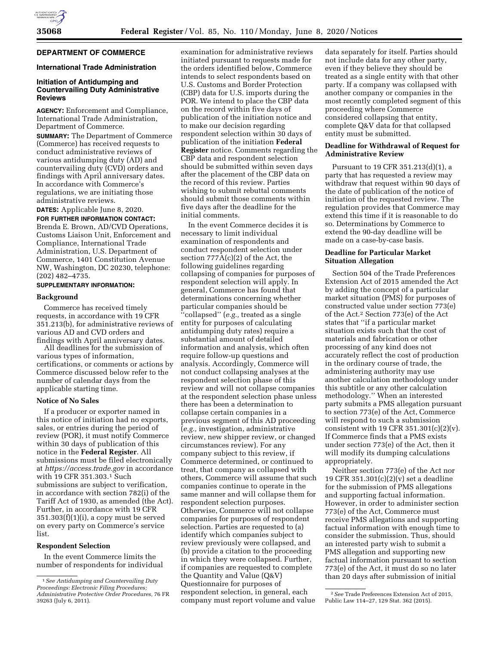

# **DEPARTMENT OF COMMERCE**

## **International Trade Administration**

# **Initiation of Antidumping and Countervailing Duty Administrative Reviews**

**AGENCY:** Enforcement and Compliance, International Trade Administration, Department of Commerce.

**SUMMARY:** The Department of Commerce (Commerce) has received requests to conduct administrative reviews of various antidumping duty (AD) and countervailing duty (CVD) orders and findings with April anniversary dates. In accordance with Commerce's regulations, we are initiating those administrative reviews.

**DATES:** Applicable June 8, 2020.

**FOR FURTHER INFORMATION CONTACT:**  Brenda E. Brown, AD/CVD Operations, Customs Liaison Unit, Enforcement and Compliance, International Trade Administration, U.S. Department of Commerce, 1401 Constitution Avenue NW, Washington, DC 20230, telephone: (202) 482–4735.

#### **SUPPLEMENTARY INFORMATION:**

#### **Background**

Commerce has received timely requests, in accordance with 19 CFR 351.213(b), for administrative reviews of various AD and CVD orders and findings with April anniversary dates.

All deadlines for the submission of various types of information, certifications, or comments or actions by Commerce discussed below refer to the number of calendar days from the applicable starting time.

#### **Notice of No Sales**

If a producer or exporter named in this notice of initiation had no exports, sales, or entries during the period of review (POR), it must notify Commerce within 30 days of publication of this notice in the **Federal Register**. All submissions must be filed electronically at *<https://access.trade.gov>*in accordance with 19 CFR 351.303.1 Such submissions are subject to verification, in accordance with section 782(i) of the Tariff Act of 1930, as amended (the Act). Further, in accordance with 19 CFR  $351.303(f)(1)(i)$ , a copy must be served on every party on Commerce's service list.

### **Respondent Selection**

In the event Commerce limits the number of respondents for individual

examination for administrative reviews initiated pursuant to requests made for the orders identified below, Commerce intends to select respondents based on U.S. Customs and Border Protection (CBP) data for U.S. imports during the POR. We intend to place the CBP data on the record within five days of publication of the initiation notice and to make our decision regarding respondent selection within 30 days of publication of the initiation **Federal Register** notice. Comments regarding the CBP data and respondent selection should be submitted within seven days after the placement of the CBP data on the record of this review. Parties wishing to submit rebuttal comments should submit those comments within five days after the deadline for the initial comments.

In the event Commerce decides it is necessary to limit individual examination of respondents and conduct respondent selection under section 777A(c)(2) of the Act, the following guidelines regarding collapsing of companies for purposes of respondent selection will apply. In general, Commerce has found that determinations concerning whether particular companies should be ''collapsed'' (*e.g.,* treated as a single entity for purposes of calculating antidumping duty rates) require a substantial amount of detailed information and analysis, which often require follow-up questions and analysis. Accordingly, Commerce will not conduct collapsing analyses at the respondent selection phase of this review and will not collapse companies at the respondent selection phase unless there has been a determination to collapse certain companies in a previous segment of this AD proceeding (*e.g.,* investigation, administrative review, new shipper review, or changed circumstances review). For any company subject to this review, if Commerce determined, or continued to treat, that company as collapsed with others, Commerce will assume that such companies continue to operate in the same manner and will collapse them for respondent selection purposes. Otherwise, Commerce will not collapse companies for purposes of respondent selection. Parties are requested to (a) identify which companies subject to review previously were collapsed, and (b) provide a citation to the proceeding in which they were collapsed. Further, if companies are requested to complete the Quantity and Value (Q&V) Questionnaire for purposes of respondent selection, in general, each company must report volume and value

data separately for itself. Parties should not include data for any other party, even if they believe they should be treated as a single entity with that other party. If a company was collapsed with another company or companies in the most recently completed segment of this proceeding where Commerce considered collapsing that entity, complete Q&V data for that collapsed entity must be submitted.

#### **Deadline for Withdrawal of Request for Administrative Review**

Pursuant to 19 CFR 351.213(d)(1), a party that has requested a review may withdraw that request within 90 days of the date of publication of the notice of initiation of the requested review. The regulation provides that Commerce may extend this time if it is reasonable to do so. Determinations by Commerce to extend the 90-day deadline will be made on a case-by-case basis.

## **Deadline for Particular Market Situation Allegation**

Section 504 of the Trade Preferences Extension Act of 2015 amended the Act by adding the concept of a particular market situation (PMS) for purposes of constructed value under section 773(e) of the Act.2 Section 773(e) of the Act states that ''if a particular market situation exists such that the cost of materials and fabrication or other processing of any kind does not accurately reflect the cost of production in the ordinary course of trade, the administering authority may use another calculation methodology under this subtitle or any other calculation methodology.'' When an interested party submits a PMS allegation pursuant to section 773(e) of the Act, Commerce will respond to such a submission consistent with 19 CFR 351.301 $(c)(2)(v)$ . If Commerce finds that a PMS exists under section 773(e) of the Act, then it will modify its dumping calculations appropriately.

Neither section 773(e) of the Act nor 19 CFR 351.301(c)(2)(v) set a deadline for the submission of PMS allegations and supporting factual information. However, in order to administer section 773(e) of the Act, Commerce must receive PMS allegations and supporting factual information with enough time to consider the submission. Thus, should an interested party wish to submit a PMS allegation and supporting new factual information pursuant to section 773(e) of the Act, it must do so no later than 20 days after submission of initial

<sup>1</sup>*See Antidumping and Countervailing Duty Proceedings: Electronic Filing Procedures; Administrative Protective Order Procedures,* 76 FR 39263 (July 6, 2011).

<sup>2</sup>*See* Trade Preferences Extension Act of 2015, Public Law 114–27, 129 Stat. 362 (2015).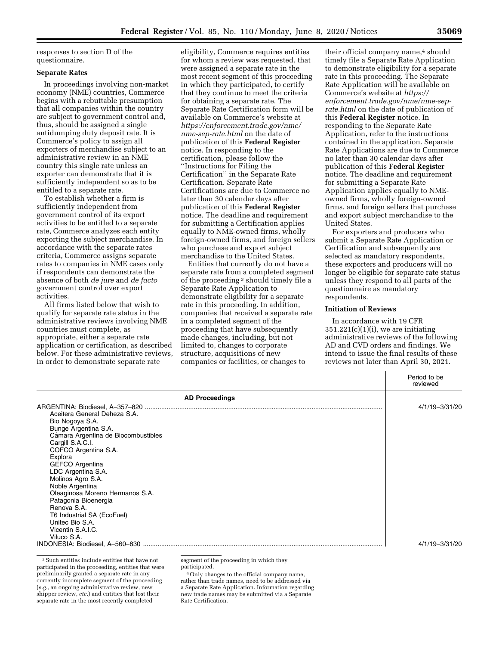responses to section D of the questionnaire.

## **Separate Rates**

In proceedings involving non-market economy (NME) countries, Commerce begins with a rebuttable presumption that all companies within the country are subject to government control and, thus, should be assigned a single antidumping duty deposit rate. It is Commerce's policy to assign all exporters of merchandise subject to an administrative review in an NME country this single rate unless an exporter can demonstrate that it is sufficiently independent so as to be entitled to a separate rate.

To establish whether a firm is sufficiently independent from government control of its export activities to be entitled to a separate rate, Commerce analyzes each entity exporting the subject merchandise. In accordance with the separate rates criteria, Commerce assigns separate rates to companies in NME cases only if respondents can demonstrate the absence of both *de jure* and *de facto*  government control over export activities.

All firms listed below that wish to qualify for separate rate status in the administrative reviews involving NME countries must complete, as appropriate, either a separate rate application or certification, as described below. For these administrative reviews, in order to demonstrate separate rate

eligibility, Commerce requires entities for whom a review was requested, that were assigned a separate rate in the most recent segment of this proceeding in which they participated, to certify that they continue to meet the criteria for obtaining a separate rate. The Separate Rate Certification form will be available on Commerce's website at *[https://enforcement.trade.gov/nme/](https://enforcement.trade.gov/nme/nme-sep-rate.html)  [nme-sep-rate.html](https://enforcement.trade.gov/nme/nme-sep-rate.html)* on the date of publication of this **Federal Register**  notice. In responding to the certification, please follow the ''Instructions for Filing the Certification'' in the Separate Rate Certification. Separate Rate Certifications are due to Commerce no later than 30 calendar days after publication of this **Federal Register**  notice. The deadline and requirement for submitting a Certification applies equally to NME-owned firms, wholly foreign-owned firms, and foreign sellers who purchase and export subject merchandise to the United States.

Entities that currently do not have a separate rate from a completed segment of the proceeding 3 should timely file a Separate Rate Application to demonstrate eligibility for a separate rate in this proceeding. In addition, companies that received a separate rate in a completed segment of the proceeding that have subsequently made changes, including, but not limited to, changes to corporate structure, acquisitions of new companies or facilities, or changes to

their official company name,<sup>4</sup> should timely file a Separate Rate Application to demonstrate eligibility for a separate rate in this proceeding. The Separate Rate Application will be available on Commerce's website at *[https://](https://enforcement.trade.gov/nme/nme-sep-rate.html) [enforcement.trade.gov/nme/nme-sep](https://enforcement.trade.gov/nme/nme-sep-rate.html)[rate.html](https://enforcement.trade.gov/nme/nme-sep-rate.html)* on the date of publication of this **Federal Register** notice. In responding to the Separate Rate Application, refer to the instructions contained in the application. Separate Rate Applications are due to Commerce no later than 30 calendar days after publication of this **Federal Register**  notice. The deadline and requirement for submitting a Separate Rate Application applies equally to NMEowned firms, wholly foreign-owned firms, and foreign sellers that purchase and export subject merchandise to the United States.

For exporters and producers who submit a Separate Rate Application or Certification and subsequently are selected as mandatory respondents, these exporters and producers will no longer be eligible for separate rate status unless they respond to all parts of the questionnaire as mandatory respondents.

#### **Initiation of Reviews**

In accordance with 19 CFR  $351.221(c)(1)(i)$ , we are initiating administrative reviews of the following AD and CVD orders and findings. We intend to issue the final results of these reviews not later than April 30, 2021.

| <b>AD Proceedings</b><br>Aceitera General Deheza S.A.<br>Bio Nogoya S.A.<br>Bunge Argentina S.A.<br>Cámara Argentina de Biocombustibles<br>Cargill S.A.C.I.<br>COFCO Argentina S.A.<br>Explora<br>GEFCO Argentina<br>LDC Argentina S.A.<br>Molinos Agro S.A.<br>Noble Argentina<br>Oleaginosa Moreno Hermanos S.A.<br>Patagonia Bioenergia<br>Renova S.A.<br>T6 Industrial SA (EcoFuel)<br>United Bio S.A.<br>Vicentin S.A.I.C. |             | Period to be<br>reviewed |
|---------------------------------------------------------------------------------------------------------------------------------------------------------------------------------------------------------------------------------------------------------------------------------------------------------------------------------------------------------------------------------------------------------------------------------|-------------|--------------------------|
|                                                                                                                                                                                                                                                                                                                                                                                                                                 |             |                          |
|                                                                                                                                                                                                                                                                                                                                                                                                                                 | Viluco S.A. | 4/1/19-3/31/20           |
|                                                                                                                                                                                                                                                                                                                                                                                                                                 |             | 4/1/19-3/31/20           |

3Such entities include entities that have not participated in the proceeding, entities that were preliminarily granted a separate rate in any currently incomplete segment of the proceeding (*e.g.,* an ongoing administrative review, new shipper review, *etc.*) and entities that lost their separate rate in the most recently completed

segment of the proceeding in which they participated.

4Only changes to the official company name, rather than trade names, need to be addressed via a Separate Rate Application. Information regarding new trade names may be submitted via a Separate Rate Certification.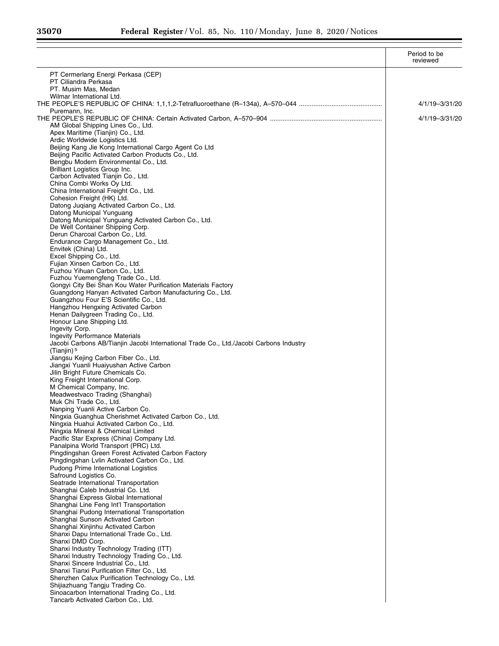|                                                                                                                            | Period to be<br>reviewed |
|----------------------------------------------------------------------------------------------------------------------------|--------------------------|
| PT Cermerlang Energi Perkasa (CEP)                                                                                         |                          |
| PT Ciliandra Perkasa                                                                                                       |                          |
| PT. Musim Mas, Medan<br>Wilmar International Ltd.                                                                          |                          |
|                                                                                                                            | 4/1/19-3/31/20           |
| Puremann, Inc.                                                                                                             |                          |
| AM Global Shipping Lines Co., Ltd.                                                                                         | 4/1/19-3/31/20           |
| Apex Maritime (Tianjin) Co., Ltd.                                                                                          |                          |
| Ardic Worldwide Logistics Ltd.                                                                                             |                          |
| Beijing Kang Jie Kong International Cargo Agent Co Ltd                                                                     |                          |
| Beijing Pacific Activated Carbon Products Co., Ltd.<br>Bengbu Modern Environmental Co., Ltd.                               |                          |
| Brilliant Logistics Group Inc.                                                                                             |                          |
| Carbon Activated Tianjin Co., Ltd.                                                                                         |                          |
| China Combi Works Oy Ltd.<br>China International Freight Co., Ltd.                                                         |                          |
| Cohesion Freight (HK) Ltd.                                                                                                 |                          |
| Datong Juqiang Activated Carbon Co., Ltd.                                                                                  |                          |
| Datong Municipal Yunguang                                                                                                  |                          |
| Datong Municipal Yunguang Activated Carbon Co., Ltd.<br>De Well Container Shipping Corp.                                   |                          |
| Derun Charcoal Carbon Co., Ltd.                                                                                            |                          |
| Endurance Cargo Management Co., Ltd.                                                                                       |                          |
| Envitek (China) Ltd.<br>Excel Shipping Co., Ltd.                                                                           |                          |
| Fujian Xinsen Carbon Co., Ltd.                                                                                             |                          |
| Fuzhou Yihuan Carbon Co., Ltd.                                                                                             |                          |
| Fuzhou Yuemengfeng Trade Co., Ltd.                                                                                         |                          |
| Gongyi City Bei Shan Kou Water Purification Materials Factory<br>Guangdong Hanyan Activated Carbon Manufacturing Co., Ltd. |                          |
| Guangzhou Four E'S Scientific Co., Ltd.                                                                                    |                          |
| Hangzhou Hengxing Activated Carbon                                                                                         |                          |
| Henan Dailygreen Trading Co., Ltd.                                                                                         |                          |
| Honour Lane Shipping Ltd.<br>Ingevity Corp.                                                                                |                          |
| <b>Ingevity Performance Materials</b>                                                                                      |                          |
| Jacobi Carbons AB/Tianjin Jacobi International Trade Co., Ltd./Jacobi Carbons Industry                                     |                          |
| (Tianjin) $5$                                                                                                              |                          |
| Jiangsu Kejing Carbon Fiber Co., Ltd.<br>Jiangxi Yuanli Huaiyushan Active Carbon                                           |                          |
| Jilin Bright Future Chemicals Co.                                                                                          |                          |
| King Freight International Corp.                                                                                           |                          |
| M Chemical Company, Inc.<br>Meadwestvaco Trading (Shanghai)                                                                |                          |
| Muk Chi Trade Co., Ltd.                                                                                                    |                          |
| Nanping Yuanli Active Carbon Co.                                                                                           |                          |
| Ningxia Guanghua Cherishmet Activated Carbon Co., Ltd.                                                                     |                          |
| Ningxia Huahui Activated Carbon Co., Ltd.<br>Ningxia Mineral & Chemical Limited                                            |                          |
| Pacific Star Express (China) Company Ltd.                                                                                  |                          |
| Panalpina World Transport (PRC) Ltd.                                                                                       |                          |
| Pingdingshan Green Forest Activated Carbon Factory                                                                         |                          |
| Pingdingshan Lvlin Activated Carbon Co., Ltd.<br>Pudong Prime International Logistics                                      |                          |
| Safround Logistics Co.                                                                                                     |                          |
| Seatrade International Transportation                                                                                      |                          |
| Shanghai Caleb Industrial Co. Ltd.                                                                                         |                          |
| Shanghai Express Global International<br>Shanghai Line Feng Int'l Transportation                                           |                          |
| Shanghai Pudong International Transportation                                                                               |                          |
| Shanghai Sunson Activated Carbon                                                                                           |                          |
| Shanghai Xinjinhu Activated Carbon                                                                                         |                          |
| Shanxi Dapu International Trade Co., Ltd.<br>Shanxi DMD Corp.                                                              |                          |
| Shanxi Industry Technology Trading (ITT)                                                                                   |                          |
| Shanxi Industry Technology Trading Co., Ltd.                                                                               |                          |
| Shanxi Sincere Industrial Co., Ltd.                                                                                        |                          |
| Shanxi Tianxi Purification Filter Co., Ltd.<br>Shenzhen Calux Purification Technology Co., Ltd.                            |                          |
| Shijiazhuang Tangju Trading Co.                                                                                            |                          |
| Sinoacarbon International Trading Co., Ltd.                                                                                |                          |
| Tancarb Activated Carbon Co., Ltd.                                                                                         |                          |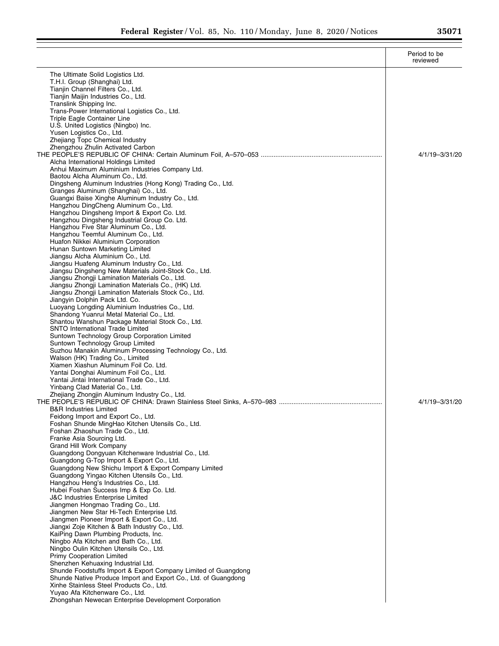|                                                                                                             | Period to be<br>reviewed |
|-------------------------------------------------------------------------------------------------------------|--------------------------|
| The Ultimate Solid Logistics Ltd.                                                                           |                          |
| T.H.I. Group (Shanghai) Ltd.                                                                                |                          |
| Tianjin Channel Filters Co., Ltd.                                                                           |                          |
| Tianjin Maijin Industries Co., Ltd.                                                                         |                          |
| Translink Shipping Inc.                                                                                     |                          |
| Trans-Power International Logistics Co., Ltd.<br>Triple Eagle Container Line                                |                          |
| U.S. United Logistics (Ningbo) Inc.                                                                         |                          |
| Yusen Logistics Co., Ltd.                                                                                   |                          |
| Zhejiang Topc Chemical Industry                                                                             |                          |
| Zhengzhou Zhulin Activated Carbon                                                                           |                          |
|                                                                                                             | 4/1/19-3/31/20           |
| Alcha International Holdings Limited                                                                        |                          |
| Anhui Maximum Aluminium Industries Company Ltd.<br>Baotou Alcha Aluminum Co., Ltd.                          |                          |
| Dingsheng Aluminum Industries (Hong Kong) Trading Co., Ltd.                                                 |                          |
| Granges Aluminum (Shanghai) Co., Ltd.                                                                       |                          |
| Guangxi Baise Xinghe Aluminum Industry Co., Ltd.                                                            |                          |
| Hangzhou DingCheng Aluminum Co., Ltd.                                                                       |                          |
| Hangzhou Dingsheng Import & Export Co. Ltd.                                                                 |                          |
| Hangzhou Dingsheng Industrial Group Co. Ltd.<br>Hangzhou Five Star Aluminum Co., Ltd.                       |                          |
| Hangzhou Teemful Aluminum Co., Ltd.                                                                         |                          |
| Huafon Nikkei Aluminium Corporation                                                                         |                          |
| Hunan Suntown Marketing Limited                                                                             |                          |
| Jiangsu Alcha Aluminium Co., Ltd.                                                                           |                          |
| Jiangsu Huafeng Aluminum Industry Co., Ltd.                                                                 |                          |
| Jiangsu Dingsheng New Materials Joint-Stock Co., Ltd.                                                       |                          |
| Jiangsu Zhongji Lamination Materials Co., Ltd.                                                              |                          |
| Jiangsu Zhongji Lamination Materials Co., (HK) Ltd.<br>Jiangsu Zhongji Lamination Materials Stock Co., Ltd. |                          |
| Jiangyin Dolphin Pack Ltd. Co.                                                                              |                          |
| Luoyang Longding Aluminium Industries Co., Ltd.                                                             |                          |
| Shandong Yuanrui Metal Material Co., Ltd.                                                                   |                          |
| Shantou Wanshun Package Material Stock Co., Ltd.                                                            |                          |
| <b>SNTO International Trade Limited</b>                                                                     |                          |
| Suntown Technology Group Corporation Limited                                                                |                          |
| Suntown Technology Group Limited<br>Suzhou Manakin Aluminum Processing Technology Co., Ltd.                 |                          |
| Walson (HK) Trading Co., Limited                                                                            |                          |
| Xiamen Xiashun Aluminum Foil Co. Ltd.                                                                       |                          |
| Yantai Donghai Aluminum Foil Co., Ltd.                                                                      |                          |
| Yantai Jintai International Trade Co., Ltd.                                                                 |                          |
| Yinbang Clad Material Co., Ltd.                                                                             |                          |
| Zhejiang Zhongjin Aluminum Industry Co., Ltd.                                                               |                          |
| <b>B&amp;R Industries Limited</b>                                                                           | 4/1/19-3/31/20           |
| Feidong Import and Export Co., Ltd.                                                                         |                          |
| Foshan Shunde MingHao Kitchen Utensils Co., Ltd.                                                            |                          |
| Foshan Zhaoshun Trade Co., Ltd.                                                                             |                          |
| Franke Asia Sourcing Ltd.                                                                                   |                          |
| Grand Hill Work Company                                                                                     |                          |
| Guangdong Dongyuan Kitchenware Industrial Co., Ltd.                                                         |                          |
| Guangdong G-Top Import & Export Co., Ltd.                                                                   |                          |
| Guangdong New Shichu Import & Export Company Limited<br>Guangdong Yingao Kitchen Utensils Co., Ltd.         |                          |
| Hangzhou Heng's Industries Co., Ltd.                                                                        |                          |
| Hubei Foshan Success Imp & Exp Co. Ltd.                                                                     |                          |
| J&C Industries Enterprise Limited                                                                           |                          |
| Jiangmen Hongmao Trading Co., Ltd.                                                                          |                          |
| Jiangmen New Star Hi-Tech Enterprise Ltd.                                                                   |                          |
| Jiangmen Pioneer Import & Export Co., Ltd.                                                                  |                          |
| Jiangxi Zoje Kitchen & Bath Industry Co., Ltd.                                                              |                          |
| KaiPing Dawn Plumbing Products, Inc.<br>Ningbo Afa Kitchen and Bath Co., Ltd.                               |                          |
| Ningbo Oulin Kitchen Utensils Co., Ltd.                                                                     |                          |
| Primy Cooperation Limited                                                                                   |                          |
| Shenzhen Kehuaxing Industrial Ltd.                                                                          |                          |
| Shunde Foodstuffs Import & Export Company Limited of Guangdong                                              |                          |
| Shunde Native Produce Import and Export Co., Ltd. of Guangdong                                              |                          |
| Xinhe Stainless Steel Products Co., Ltd.                                                                    |                          |
| Yuyao Afa Kitchenware Co., Ltd.                                                                             |                          |
| Zhongshan Newecan Enterprise Development Corporation                                                        |                          |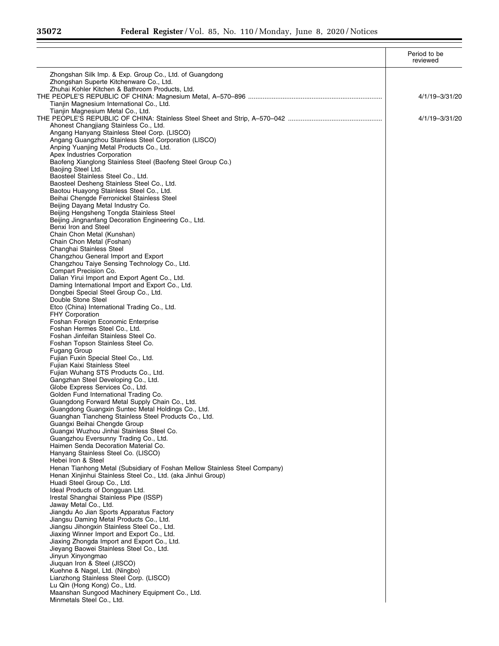Ξ

|                                                                                                  | Period to be<br>reviewed |
|--------------------------------------------------------------------------------------------------|--------------------------|
| Zhongshan Silk Imp. & Exp. Group Co., Ltd. of Guangdong                                          |                          |
| Zhongshan Superte Kitchenware Co., Ltd.                                                          |                          |
| Zhuhai Kohler Kitchen & Bathroom Products, Ltd.                                                  | 4/1/19-3/31/20           |
| Tianjin Magnesium International Co., Ltd.                                                        |                          |
| Tianjin Magnesium Metal Co., Ltd.                                                                |                          |
|                                                                                                  | 4/1/19-3/31/20           |
| Ahonest Changjiang Stainless Co., Ltd.                                                           |                          |
| Angang Hanyang Stainless Steel Corp. (LISCO)                                                     |                          |
| Angang Guangzhou Stainless Steel Corporation (LISCO)<br>Anping Yuanjing Metal Products Co., Ltd. |                          |
| Apex Industries Corporation                                                                      |                          |
| Baofeng Xianglong Stainless Steel (Baofeng Steel Group Co.)                                      |                          |
| Baojing Steel Ltd.                                                                               |                          |
| Baosteel Stainless Steel Co., Ltd.                                                               |                          |
| Baosteel Desheng Stainless Steel Co., Ltd.<br>Baotou Huayong Stainless Steel Co., Ltd.           |                          |
| Beihai Chengde Ferronickel Stainless Steel                                                       |                          |
| Beijing Dayang Metal Industry Co.                                                                |                          |
| Beijing Hengsheng Tongda Stainless Steel                                                         |                          |
| Beijing Jingnanfang Decoration Engineering Co., Ltd.                                             |                          |
| Benxi Iron and Steel                                                                             |                          |
| Chain Chon Metal (Kunshan)<br>Chain Chon Metal (Foshan)                                          |                          |
| Changhai Stainless Steel                                                                         |                          |
| Changzhou General Import and Export                                                              |                          |
| Changzhou Taiye Sensing Technology Co., Ltd.                                                     |                          |
| Compart Precision Co.                                                                            |                          |
| Dalian Yirui Import and Export Agent Co., Ltd.                                                   |                          |
| Daming International Import and Export Co., Ltd.<br>Dongbei Special Steel Group Co., Ltd.        |                          |
| Double Stone Steel                                                                               |                          |
| Etco (China) International Trading Co., Ltd.                                                     |                          |
| <b>FHY Corporation</b>                                                                           |                          |
| Foshan Foreign Economic Enterprise                                                               |                          |
| Foshan Hermes Steel Co., Ltd.                                                                    |                          |
| Foshan Jinfeifan Stainless Steel Co.<br>Foshan Topson Stainless Steel Co.                        |                          |
| <b>Fugang Group</b>                                                                              |                          |
| Fujian Fuxin Special Steel Co., Ltd.                                                             |                          |
| Fujian Kaixi Stainless Steel                                                                     |                          |
| Fujian Wuhang STS Products Co., Ltd.                                                             |                          |
| Gangzhan Steel Developing Co., Ltd.<br>Globe Express Services Co., Ltd.                          |                          |
| Golden Fund International Trading Co.                                                            |                          |
| Guangdong Forward Metal Supply Chain Co., Ltd.                                                   |                          |
| Guangdong Guangxin Suntec Metal Holdings Co., Ltd.                                               |                          |
| Guanghan Tiancheng Stainless Steel Products Co., Ltd.                                            |                          |
| Guangxi Beihai Chengde Group                                                                     |                          |
| Guangxi Wuzhou Jinhai Stainless Steel Co.<br>Guangzhou Eversunny Trading Co., Ltd.               |                          |
| Haimen Senda Decoration Material Co.                                                             |                          |
| Hanyang Stainless Steel Co. (LISCO)                                                              |                          |
| Hebei Iron & Steel                                                                               |                          |
| Henan Tianhong Metal (Subsidiary of Foshan Mellow Stainless Steel Company)                       |                          |
| Henan Xinjinhui Stainless Steel Co., Ltd. (aka Jinhui Group)                                     |                          |
| Huadi Steel Group Co., Ltd.<br>Ideal Products of Dongquan Ltd.                                   |                          |
| Irestal Shanghai Stainless Pipe (ISSP)                                                           |                          |
| Jaway Metal Co., Ltd.                                                                            |                          |
| Jiangdu Ao Jian Sports Apparatus Factory                                                         |                          |
| Jiangsu Daming Metal Products Co., Ltd.                                                          |                          |
| Jiangsu Jihongxin Stainless Steel Co., Ltd.                                                      |                          |
| Jiaxing Winner Import and Export Co., Ltd.<br>Jiaxing Zhongda Import and Export Co., Ltd.        |                          |
| Jieyang Baowei Stainless Steel Co., Ltd.                                                         |                          |
| Jinyun Xinyongmao                                                                                |                          |
| Jiuquan Iron & Steel (JISCO)                                                                     |                          |
| Kuehne & Nagel, Ltd. (Ningbo)                                                                    |                          |
| Lianzhong Stainless Steel Corp. (LISCO)                                                          |                          |
| Lu Qin (Hong Kong) Co., Ltd.<br>Maanshan Sungood Machinery Equipment Co., Ltd.                   |                          |
| Minmetals Steel Co., Ltd.                                                                        |                          |
|                                                                                                  |                          |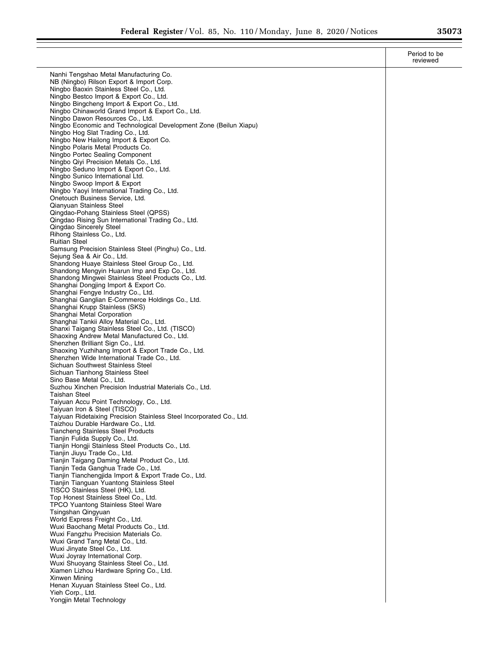|                                                                                                       | Period to be<br>reviewed |
|-------------------------------------------------------------------------------------------------------|--------------------------|
| Nanhi Tengshao Metal Manufacturing Co.                                                                |                          |
| NB (Ningbo) Rilson Export & Import Corp.                                                              |                          |
| Ningbo Baoxin Stainless Steel Co., Ltd.<br>Ningbo Bestco Import & Export Co., Ltd.                    |                          |
| Ningbo Bingcheng Import & Export Co., Ltd.                                                            |                          |
| Ningbo Chinaworld Grand Import & Export Co., Ltd.                                                     |                          |
| Ningbo Dawon Resources Co., Ltd.<br>Ningbo Economic and Technological Development Zone (Beilun Xiapu) |                          |
| Ningbo Hog Slat Trading Co., Ltd.                                                                     |                          |
| Ningbo New Hailong Import & Export Co.                                                                |                          |
| Ningbo Polaris Metal Products Co.<br>Ningbo Portec Sealing Component                                  |                          |
| Ningbo Qivi Precision Metals Co., Ltd.                                                                |                          |
| Ningbo Seduno Import & Export Co., Ltd.                                                               |                          |
| Ningbo Sunico International Ltd.<br>Ningbo Swoop Import & Export                                      |                          |
| Ningbo Yaoyi International Trading Co., Ltd.                                                          |                          |
| Onetouch Business Service, Ltd.                                                                       |                          |
| Qianyuan Stainless Steel<br>Qingdao-Pohang Stainless Steel (QPSS)                                     |                          |
| Qingdao Rising Sun International Trading Co., Ltd.                                                    |                          |
| Qingdao Sincerely Steel                                                                               |                          |
| Rihong Stainless Co., Ltd.                                                                            |                          |
| <b>Ruitian Steel</b><br>Samsung Precision Stainless Steel (Pinghu) Co., Ltd.                          |                          |
| Sejung Sea & Air Co., Ltd.                                                                            |                          |
| Shandong Huaye Stainless Steel Group Co., Ltd.                                                        |                          |
| Shandong Mengyin Huarun Imp and Exp Co., Ltd.<br>Shandong Mingwei Stainless Steel Products Co., Ltd.  |                          |
| Shanghai Dongjing Import & Export Co.                                                                 |                          |
| Shanghai Fengye Industry Co., Ltd.                                                                    |                          |
| Shanghai Ganglian E-Commerce Holdings Co., Ltd.<br>Shanghai Krupp Stainless (SKS)                     |                          |
| Shanghai Metal Corporation                                                                            |                          |
| Shanghai Tankii Alloy Material Co., Ltd.                                                              |                          |
| Shanxi Taigang Stainless Steel Co., Ltd. (TISCO)<br>Shaoxing Andrew Metal Manufactured Co., Ltd.      |                          |
| Shenzhen Brilliant Sign Co., Ltd.                                                                     |                          |
| Shaoxing Yuzhihang Import & Export Trade Co., Ltd.                                                    |                          |
| Shenzhen Wide International Trade Co., Ltd.<br>Sichuan Southwest Stainless Steel                      |                          |
| Sichuan Tianhong Stainless Steel                                                                      |                          |
| Sino Base Metal Co., Ltd.                                                                             |                          |
| Suzhou Xinchen Precision Industrial Materials Co., Ltd.<br><b>Taishan Steel</b>                       |                          |
| Taiyuan Accu Point Technology, Co., Ltd.                                                              |                          |
| Taiyuan Iron & Steel (TISCO)                                                                          |                          |
| Taiyuan Ridetaixing Precision Stainless Steel Incorporated Co., Ltd.                                  |                          |
| Taizhou Durable Hardware Co., Ltd.<br><b>Tiancheng Stainless Steel Products</b>                       |                          |
| Tianjin Fulida Supply Co., Ltd.                                                                       |                          |
| Tianjin Hongji Stainless Steel Products Co., Ltd.                                                     |                          |
| Tianjin Jiuyu Trade Co., Ltd.<br>Tianjin Taigang Daming Metal Product Co., Ltd.                       |                          |
| Tianjin Teda Ganghua Trade Co., Ltd.                                                                  |                          |
| Tianjin Tianchengjida Import & Export Trade Co., Ltd.                                                 |                          |
| Tianjin Tianguan Yuantong Stainless Steel<br>TISCO Stainless Steel (HK), Ltd.                         |                          |
| Top Honest Stainless Steel Co., Ltd.                                                                  |                          |
| TPCO Yuantong Stainless Steel Ware                                                                    |                          |
| Tsingshan Qingyuan<br>World Express Freight Co., Ltd.                                                 |                          |
| Wuxi Baochang Metal Products Co., Ltd.                                                                |                          |
| Wuxi Fangzhu Precision Materials Co.                                                                  |                          |
| Wuxi Grand Tang Metal Co., Ltd.                                                                       |                          |
| Wuxi Jinyate Steel Co., Ltd.<br>Wuxi Joyray International Corp.                                       |                          |
| Wuxi Shuoyang Stainless Steel Co., Ltd.                                                               |                          |
| Xiamen Lizhou Hardware Spring Co., Ltd.                                                               |                          |
| Xinwen Mining<br>Henan Xuyuan Stainless Steel Co., Ltd.                                               |                          |
| Yieh Corp., Ltd.                                                                                      |                          |
| Yongjin Metal Technology                                                                              |                          |
|                                                                                                       |                          |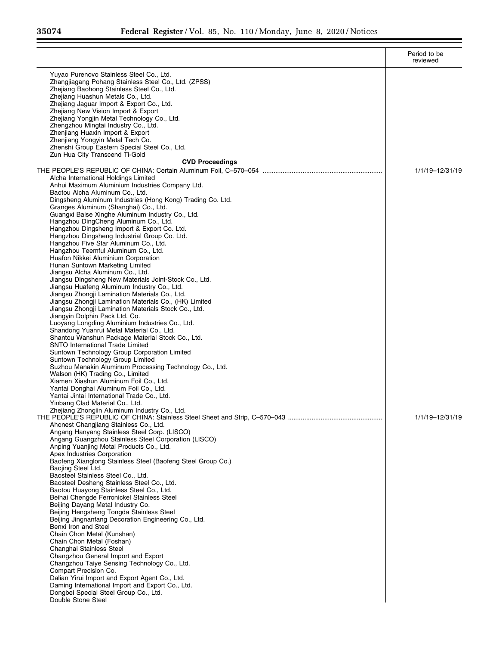$\equiv$ 

|                                                                                                                | Period to be<br>reviewed |
|----------------------------------------------------------------------------------------------------------------|--------------------------|
| Yuyao Purenovo Stainless Steel Co., Ltd.<br>Zhangjiagang Pohang Stainless Steel Co., Ltd. (ZPSS)               |                          |
| Zhejiang Baohong Stainless Steel Co., Ltd.<br>Zhejiang Huashun Metals Co., Ltd.                                |                          |
| Zhejiang Jaguar Import & Export Co., Ltd.                                                                      |                          |
| Zhejiang New Vision Import & Export                                                                            |                          |
| Zhejiang Yongjin Metal Technology Co., Ltd.                                                                    |                          |
| Zhengzhou Mingtai Industry Co., Ltd.                                                                           |                          |
| Zhenjiang Huaxin Import & Export                                                                               |                          |
| Zhenjiang Yongyin Metal Tech Co.<br>Zhenshi Group Eastern Special Steel Co., Ltd.                              |                          |
| Zun Hua City Transcend Ti-Gold                                                                                 |                          |
| <b>CVD Proceedings</b>                                                                                         |                          |
|                                                                                                                | 1/1/19-12/31/19          |
| Alcha International Holdings Limited                                                                           |                          |
| Anhui Maximum Aluminium Industries Company Ltd.                                                                |                          |
| Baotou Alcha Aluminum Co., Ltd.                                                                                |                          |
| Dingsheng Aluminum Industries (Hong Kong) Trading Co. Ltd.<br>Granges Aluminum (Shanghai) Co., Ltd.            |                          |
| Guangxi Baise Xinghe Aluminum Industry Co., Ltd.                                                               |                          |
| Hangzhou DingCheng Aluminum Co., Ltd.                                                                          |                          |
| Hangzhou Dingsheng Import & Export Co. Ltd.                                                                    |                          |
| Hangzhou Dingsheng Industrial Group Co. Ltd.                                                                   |                          |
| Hangzhou Five Star Aluminum Co., Ltd.                                                                          |                          |
| Hangzhou Teemful Aluminum Co., Ltd.<br>Huafon Nikkei Aluminium Corporation                                     |                          |
| Hunan Suntown Marketing Limited                                                                                |                          |
| Jiangsu Alcha Aluminum Co., Ltd.                                                                               |                          |
| Jiangsu Dingsheng New Materials Joint-Stock Co., Ltd.                                                          |                          |
| Jiangsu Huafeng Aluminum Industry Co., Ltd.                                                                    |                          |
| Jiangsu Zhongji Lamination Materials Co., Ltd.                                                                 |                          |
| Jiangsu Zhongji Lamination Materials Co., (HK) Limited<br>Jiangsu Zhongji Lamination Materials Stock Co., Ltd. |                          |
| Jiangyin Dolphin Pack Ltd. Co.                                                                                 |                          |
| Luoyang Longding Aluminium Industries Co., Ltd.                                                                |                          |
| Shandong Yuanrui Metal Material Co., Ltd.                                                                      |                          |
| Shantou Wanshun Package Material Stock Co., Ltd.                                                               |                          |
| SNTO International Trade Limited<br>Suntown Technology Group Corporation Limited                               |                          |
| Suntown Technology Group Limited                                                                               |                          |
| Suzhou Manakin Aluminum Processing Technology Co., Ltd.                                                        |                          |
| Walson (HK) Trading Co., Limited                                                                               |                          |
| Xiamen Xiashun Aluminum Foil Co., Ltd.                                                                         |                          |
| Yantai Donghai Aluminum Foil Co., Ltd.<br>Yantai Jintai International Trade Co., Ltd.                          |                          |
| Yinbang Clad Material Co., Ltd.                                                                                |                          |
| Zhejiang Zhongiin Aluminum Industry Co., Ltd.                                                                  |                          |
|                                                                                                                | 1/1/19-12/31/19          |
| Ahonest Changjiang Stainless Co., Ltd.                                                                         |                          |
| Angang Hanyang Stainless Steel Corp. (LISCO)                                                                   |                          |
| Angang Guangzhou Stainless Steel Corporation (LISCO)<br>Anping Yuanjing Metal Products Co., Ltd.               |                          |
| Apex Industries Corporation                                                                                    |                          |
| Baofeng Xianglong Stainless Steel (Baofeng Steel Group Co.)                                                    |                          |
| Baojing Steel Ltd.                                                                                             |                          |
| Baosteel Stainless Steel Co., Ltd.                                                                             |                          |
| Baosteel Desheng Stainless Steel Co., Ltd.<br>Baotou Huayong Stainless Steel Co., Ltd.                         |                          |
| Beihai Chengde Ferronickel Stainless Steel                                                                     |                          |
| Beijing Dayang Metal Industry Co.                                                                              |                          |
| Beijing Hengsheng Tongda Stainless Steel                                                                       |                          |
| Beijing Jingnanfang Decoration Engineering Co., Ltd.                                                           |                          |
| Benxi Iron and Steel<br>Chain Chon Metal (Kunshan)                                                             |                          |
| Chain Chon Metal (Foshan)                                                                                      |                          |
| Changhai Stainless Steel                                                                                       |                          |
| Changzhou General Import and Export                                                                            |                          |
| Changzhou Taiye Sensing Technology Co., Ltd.                                                                   |                          |
| Compart Precision Co.                                                                                          |                          |
| Dalian Yirui Import and Export Agent Co., Ltd.<br>Daming International Import and Export Co., Ltd.             |                          |
| Dongbei Special Steel Group Co., Ltd.                                                                          |                          |
| Double Stone Steel                                                                                             |                          |
|                                                                                                                |                          |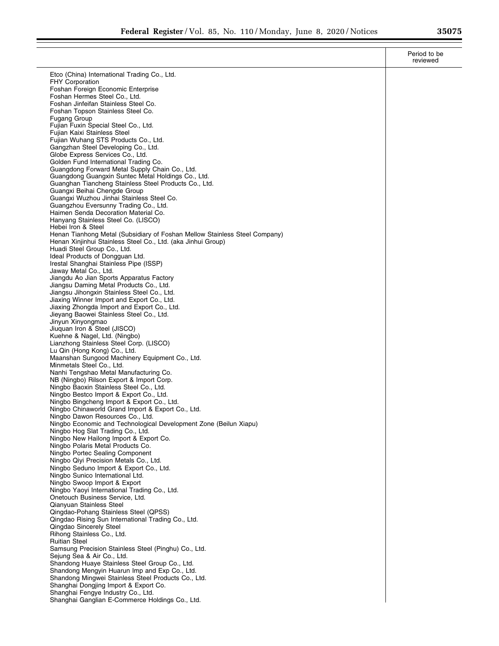|                                                                                                                                            | Period to be<br>reviewed |
|--------------------------------------------------------------------------------------------------------------------------------------------|--------------------------|
| Etco (China) International Trading Co., Ltd.                                                                                               |                          |
| <b>FHY Corporation</b><br>Foshan Foreign Economic Enterprise                                                                               |                          |
| Foshan Hermes Steel Co., Ltd.                                                                                                              |                          |
| Foshan Jinfeifan Stainless Steel Co.<br>Foshan Topson Stainless Steel Co.                                                                  |                          |
| Fugang Group                                                                                                                               |                          |
| Fujian Fuxin Special Steel Co., Ltd.<br>Fujian Kaixi Stainless Steel                                                                       |                          |
| Fujian Wuhang STS Products Co., Ltd.                                                                                                       |                          |
| Gangzhan Steel Developing Co., Ltd.<br>Globe Express Services Co., Ltd.                                                                    |                          |
| Golden Fund International Trading Co.                                                                                                      |                          |
| Guangdong Forward Metal Supply Chain Co., Ltd.<br>Guangdong Guangxin Suntec Metal Holdings Co., Ltd.                                       |                          |
| Guanghan Tiancheng Stainless Steel Products Co., Ltd.                                                                                      |                          |
| Guangxi Beihai Chengde Group<br>Guangxi Wuzhou Jinhai Stainless Steel Co.                                                                  |                          |
| Guangzhou Eversunny Trading Co., Ltd.                                                                                                      |                          |
| Haimen Senda Decoration Material Co.<br>Hanyang Stainless Steel Co. (LISCO)                                                                |                          |
| Hebei Iron & Steel                                                                                                                         |                          |
| Henan Tianhong Metal (Subsidiary of Foshan Mellow Stainless Steel Company)<br>Henan Xinjinhui Stainless Steel Co., Ltd. (aka Jinhui Group) |                          |
| Huadi Steel Group Co., Ltd.                                                                                                                |                          |
| Ideal Products of Dongguan Ltd.                                                                                                            |                          |
| Irestal Shanghai Stainless Pipe (ISSP)<br>Jaway Metal Co., Ltd.                                                                            |                          |
| Jiangdu Ao Jian Sports Apparatus Factory                                                                                                   |                          |
| Jiangsu Daming Metal Products Co., Ltd.<br>Jiangsu Jihongxin Stainless Steel Co., Ltd.                                                     |                          |
| Jiaxing Winner Import and Export Co., Ltd.                                                                                                 |                          |
| Jiaxing Zhongda Import and Export Co., Ltd.<br>Jieyang Baowei Stainless Steel Co., Ltd.                                                    |                          |
| Jinyun Xinyongmao                                                                                                                          |                          |
| Jiuquan Iron & Steel (JISCO)<br>Kuehne & Nagel, Ltd. (Ningbo)                                                                              |                          |
| Lianzhong Stainless Steel Corp. (LISCO)                                                                                                    |                          |
| Lu Qin (Hong Kong) Co., Ltd.<br>Maanshan Sungood Machinery Equipment Co., Ltd.                                                             |                          |
| Minmetals Steel Co., Ltd.                                                                                                                  |                          |
| Nanhi Tengshao Metal Manufacturing Co.                                                                                                     |                          |
| NB (Ningbo) Rilson Export & Import Corp.<br>Ningbo Baoxin Stainless Steel Co., Ltd.                                                        |                          |
| Ningbo Bestco Import & Export Co., Ltd.                                                                                                    |                          |
| Ningbo Bingcheng Import & Export Co., Ltd.<br>Ningbo Chinaworld Grand Import & Export Co., Ltd.                                            |                          |
| Ningbo Dawon Resources Co., Ltd.                                                                                                           |                          |
| Ningbo Economic and Technological Development Zone (Beilun Xiapu)<br>Ningbo Hog Slat Trading Co., Ltd.                                     |                          |
| Ningbo New Hailong Import & Export Co.                                                                                                     |                          |
| Ningbo Polaris Metal Products Co.<br>Ningbo Portec Sealing Component                                                                       |                          |
| Ningbo Qiyi Precision Metals Co., Ltd.                                                                                                     |                          |
| Ningbo Seduno Import & Export Co., Ltd.<br>Ningbo Sunico International Ltd.                                                                |                          |
| Ningbo Swoop Import & Export                                                                                                               |                          |
| Ningbo Yaoyi International Trading Co., Ltd.<br>Onetouch Business Service, Ltd.                                                            |                          |
| Qianyuan Stainless Steel                                                                                                                   |                          |
| Qingdao-Pohang Stainless Steel (QPSS)                                                                                                      |                          |
| Qingdao Rising Sun International Trading Co., Ltd.<br>Qingdao Sincerely Steel                                                              |                          |
| Rihong Stainless Co., Ltd.                                                                                                                 |                          |
| <b>Ruitian Steel</b><br>Samsung Precision Stainless Steel (Pinghu) Co., Ltd.                                                               |                          |
| Sejung Sea & Air Co., Ltd.                                                                                                                 |                          |
| Shandong Huaye Stainless Steel Group Co., Ltd.<br>Shandong Mengyin Huarun Imp and Exp Co., Ltd.                                            |                          |
| Shandong Mingwei Stainless Steel Products Co., Ltd.                                                                                        |                          |
| Shanghai Dongjing Import & Export Co.<br>Shanghai Fengye Industry Co., Ltd.                                                                |                          |
| Shanghai Ganglian E-Commerce Holdings Co., Ltd.                                                                                            |                          |
|                                                                                                                                            |                          |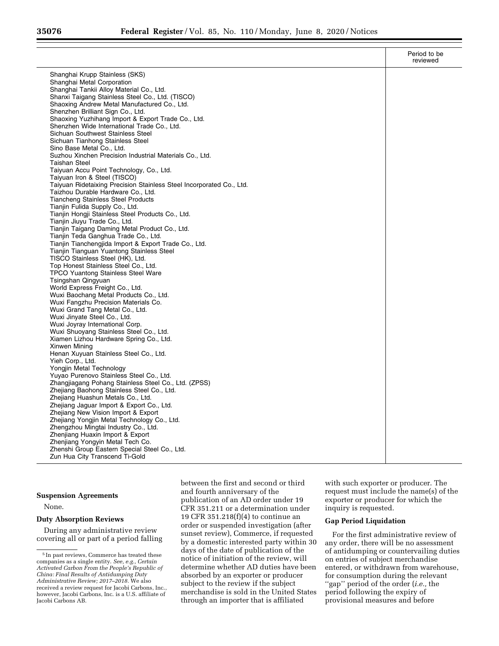|                                                                                                      | Period to be<br>reviewed |
|------------------------------------------------------------------------------------------------------|--------------------------|
| Shanghai Krupp Stainless (SKS)                                                                       |                          |
| Shanghai Metal Corporation                                                                           |                          |
| Shanghai Tankii Alloy Material Co., Ltd.                                                             |                          |
| Shanxi Taigang Stainless Steel Co., Ltd. (TISCO)                                                     |                          |
| Shaoxing Andrew Metal Manufactured Co., Ltd.                                                         |                          |
| Shenzhen Brilliant Sign Co., Ltd.                                                                    |                          |
| Shaoxing Yuzhihang Import & Export Trade Co., Ltd.                                                   |                          |
| Shenzhen Wide International Trade Co., Ltd.                                                          |                          |
| Sichuan Southwest Stainless Steel                                                                    |                          |
| Sichuan Tianhong Stainless Steel                                                                     |                          |
| Sino Base Metal Co., Ltd.                                                                            |                          |
| Suzhou Xinchen Precision Industrial Materials Co., Ltd.                                              |                          |
| <b>Taishan Steel</b>                                                                                 |                          |
| Taiyuan Accu Point Technology, Co., Ltd.                                                             |                          |
| Taiyuan Iron & Steel (TISCO)<br>Taiyuan Ridetaixing Precision Stainless Steel Incorporated Co., Ltd. |                          |
| Taizhou Durable Hardware Co., Ltd.                                                                   |                          |
| <b>Tiancheng Stainless Steel Products</b>                                                            |                          |
| Tianjin Fulida Supply Co., Ltd.                                                                      |                          |
| Tianjin Hongji Stainless Steel Products Co., Ltd.                                                    |                          |
| Tianjin Jiuyu Trade Co., Ltd.                                                                        |                          |
| Tianjin Taigang Daming Metal Product Co., Ltd.                                                       |                          |
| Tianjin Teda Ganghua Trade Co., Ltd.                                                                 |                          |
| Tianjin Tianchengjida Import & Export Trade Co., Ltd.                                                |                          |
| Tianjin Tianguan Yuantong Stainless Steel                                                            |                          |
| TISCO Stainless Steel (HK), Ltd.                                                                     |                          |
| Top Honest Stainless Steel Co., Ltd.                                                                 |                          |
| <b>TPCO Yuantong Stainless Steel Ware</b>                                                            |                          |
| Tsingshan Qingyuan                                                                                   |                          |
| World Express Freight Co., Ltd.<br>Wuxi Baochang Metal Products Co., Ltd.                            |                          |
| Wuxi Fangzhu Precision Materials Co.                                                                 |                          |
| Wuxi Grand Tang Metal Co., Ltd.                                                                      |                          |
| Wuxi Jinyate Steel Co., Ltd.                                                                         |                          |
| Wuxi Joyray International Corp.                                                                      |                          |
| Wuxi Shuoyang Stainless Steel Co., Ltd.                                                              |                          |
| Xiamen Lizhou Hardware Spring Co., Ltd.                                                              |                          |
| Xinwen Mining                                                                                        |                          |
| Henan Xuyuan Stainless Steel Co., Ltd.                                                               |                          |
| Yieh Corp., Ltd.                                                                                     |                          |
| Yongjin Metal Technology                                                                             |                          |
| Yuyao Purenovo Stainless Steel Co., Ltd.                                                             |                          |
| Zhangjiagang Pohang Stainless Steel Co., Ltd. (ZPSS)<br>Zhejiang Baohong Stainless Steel Co., Ltd.   |                          |
| Zhejiang Huashun Metals Co., Ltd.                                                                    |                          |
| Zhejiang Jaguar Import & Export Co., Ltd.                                                            |                          |
| Zhejiang New Vision Import & Export                                                                  |                          |
| Zhejiang Yongjin Metal Technology Co., Ltd.                                                          |                          |
| Zhengzhou Mingtai Industry Co., Ltd.                                                                 |                          |
| Zhenjiang Huaxin Import & Export                                                                     |                          |
| Zhenjiang Yongyin Metal Tech Co.                                                                     |                          |
| Zhenshi Group Eastern Special Steel Co., Ltd.                                                        |                          |
| Zun Hua City Transcend Ti-Gold                                                                       |                          |

#### **Suspension Agreements**

None.

# **Duty Absorption Reviews**

During any administrative review covering all or part of a period falling

between the first and second or third and fourth anniversary of the publication of an AD order under 19 CFR 351.211 or a determination under 19 CFR 351.218(f)(4) to continue an order or suspended investigation (after sunset review), Commerce, if requested by a domestic interested party within 30 days of the date of publication of the notice of initiation of the review, will determine whether AD duties have been absorbed by an exporter or producer subject to the review if the subject merchandise is sold in the United States through an importer that is affiliated

with such exporter or producer. The request must include the name(s) of the exporter or producer for which the inquiry is requested.

# **Gap Period Liquidation**

For the first administrative review of any order, there will be no assessment of antidumping or countervailing duties on entries of subject merchandise entered, or withdrawn from warehouse, for consumption during the relevant ''gap'' period of the order (*i.e.,* the period following the expiry of provisional measures and before

<sup>5</sup> In past reviews, Commerce has treated these companies as a single entity. *See, e.g., Certain Activated Carbon From the People's Republic of China: Final Results of Antidumping Duty Administrative Review; 2017–2018.* We also received a review request for Jacobi Carbons, Inc., however, Jacobi Carbons, Inc. is a U.S. affiliate of Jacobi Carbons AB.